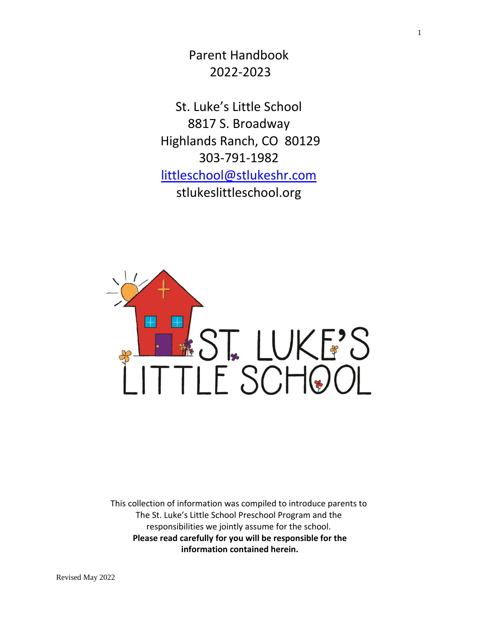Parent Handbook 2022-2023

St. Luke's Little School 8817 S. Broadway Highlands Ranch, CO 80129 303-791-1982 [littleschool@stlukeshr.com](mailto:littleschool@stlukeshr.com)  stlukeslittleschool.org



This collection of information was compiled to introduce parents to The St. Luke's Little School Preschool Program and the responsibilities we jointly assume for the school. **Please read carefully for you will be responsible for the information contained herein.**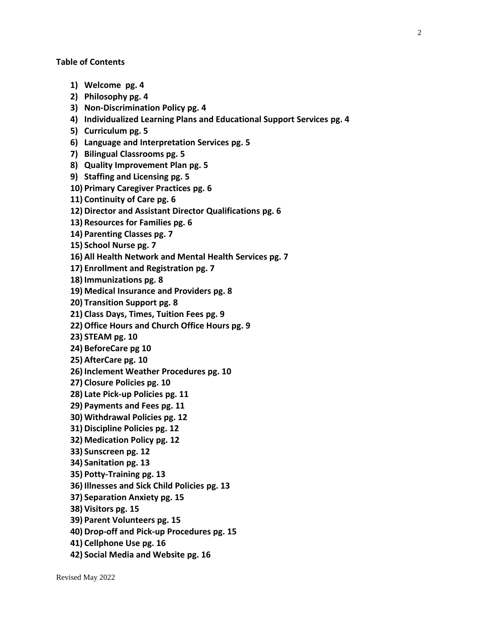- **1) Welcome pg. 4**
- **2) Philosophy pg. 4**
- **3) Non-Discrimination Policy pg. 4**
- **4) Individualized Learning Plans and Educational Support Services pg. 4**
- **5) Curriculum pg. 5**
- **6) Language and Interpretation Services pg. 5**
- **7) Bilingual Classrooms pg. 5**
- **8) Quality Improvement Plan pg. 5**
- **9) Staffing and Licensing pg. 5**
- **10) Primary Caregiver Practices pg. 6**
- **11) Continuity of Care pg. 6**
- **12) Director and Assistant Director Qualifications pg. 6**
- **13) Resources for Families pg. 6**
- **14) Parenting Classes pg. 7**
- **15) School Nurse pg. 7**
- **16) All Health Network and Mental Health Services pg. 7**
- **17) Enrollment and Registration pg. 7**
- **18) Immunizations pg. 8**
- **19) Medical Insurance and Providers pg. 8**
- **20) Transition Support pg. 8**
- **21) Class Days, Times, Tuition Fees pg. 9**
- **22)Office Hours and Church Office Hours pg. 9**
- **23) STEAM pg. 10**
- **24) BeforeCare pg 10**
- **25) AfterCare pg. 10**
- **26) Inclement Weather Procedures pg. 10**
- **27) Closure Policies pg. 10**
- **28) Late Pick-up Policies pg. 11**
- **29) Payments and Fees pg. 11**
- **30) Withdrawal Policies pg. 12**
- **31) Discipline Policies pg. 12**
- **32) Medication Policy pg. 12**
- **33) Sunscreen pg. 12**
- **34) Sanitation pg. 13**
- **35) Potty-Training pg. 13**
- **36) Illnesses and Sick Child Policies pg. 13**
- **37) Separation Anxiety pg. 15**
- **38) Visitors pg. 15**
- **39) Parent Volunteers pg. 15**
- **40) Drop-off and Pick-up Procedures pg. 15**
- **41) Cellphone Use pg. 16**
- **42) Social Media and Website pg. 16**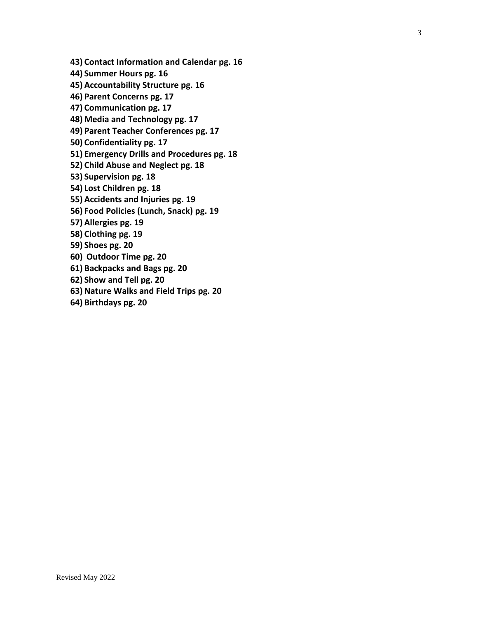**43) Contact Information and Calendar pg. 16**

**44) Summer Hours pg. 16**

**45) Accountability Structure pg. 16**

**46) Parent Concerns pg. 17**

**47) Communication pg. 17**

**48) Media and Technology pg. 17**

**49) Parent Teacher Conferences pg. 17**

**50) Confidentiality pg. 17**

**51) Emergency Drills and Procedures pg. 18**

**52) Child Abuse and Neglect pg. 18**

**53) Supervision pg. 18**

**54) Lost Children pg. 18**

**55) Accidents and Injuries pg. 19**

**56) Food Policies (Lunch, Snack) pg. 19**

**57) Allergies pg. 19**

**58) Clothing pg. 19**

**59) Shoes pg. 20**

**60) Outdoor Time pg. 20**

**61) Backpacks and Bags pg. 20**

**62) Show and Tell pg. 20**

**63) Nature Walks and Field Trips pg. 20**

**64) Birthdays pg. 20**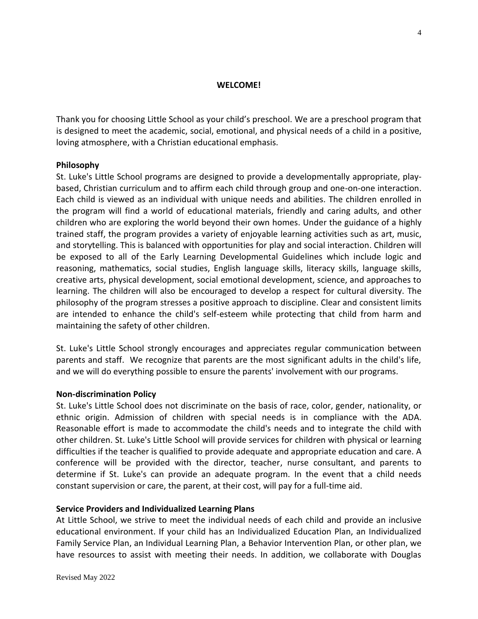#### **WELCOME!**

Thank you for choosing Little School as your child's preschool. We are a preschool program that is designed to meet the academic, social, emotional, and physical needs of a child in a positive, loving atmosphere, with a Christian educational emphasis.

#### **Philosophy**

St. Luke's Little School programs are designed to provide a developmentally appropriate, playbased, Christian curriculum and to affirm each child through group and one-on-one interaction. Each child is viewed as an individual with unique needs and abilities. The children enrolled in the program will find a world of educational materials, friendly and caring adults, and other children who are exploring the world beyond their own homes. Under the guidance of a highly trained staff, the program provides a variety of enjoyable learning activities such as art, music, and storytelling. This is balanced with opportunities for play and social interaction. Children will be exposed to all of the Early Learning Developmental Guidelines which include logic and reasoning, mathematics, social studies, English language skills, literacy skills, language skills, creative arts, physical development, social emotional development, science, and approaches to learning. The children will also be encouraged to develop a respect for cultural diversity. The philosophy of the program stresses a positive approach to discipline. Clear and consistent limits are intended to enhance the child's self-esteem while protecting that child from harm and maintaining the safety of other children.

St. Luke's Little School strongly encourages and appreciates regular communication between parents and staff. We recognize that parents are the most significant adults in the child's life, and we will do everything possible to ensure the parents' involvement with our programs.

#### **Non-discrimination Policy**

St. Luke's Little School does not discriminate on the basis of race, color, gender, nationality, or ethnic origin. Admission of children with special needs is in compliance with the ADA. Reasonable effort is made to accommodate the child's needs and to integrate the child with other children. St. Luke's Little School will provide services for children with physical or learning difficulties if the teacher is qualified to provide adequate and appropriate education and care. A conference will be provided with the director, teacher, nurse consultant, and parents to determine if St. Luke's can provide an adequate program. In the event that a child needs constant supervision or care, the parent, at their cost, will pay for a full-time aid.

#### **Service Providers and Individualized Learning Plans**

At Little School, we strive to meet the individual needs of each child and provide an inclusive educational environment. If your child has an Individualized Education Plan, an Individualized Family Service Plan, an Individual Learning Plan, a Behavior Intervention Plan, or other plan, we have resources to assist with meeting their needs. In addition, we collaborate with Douglas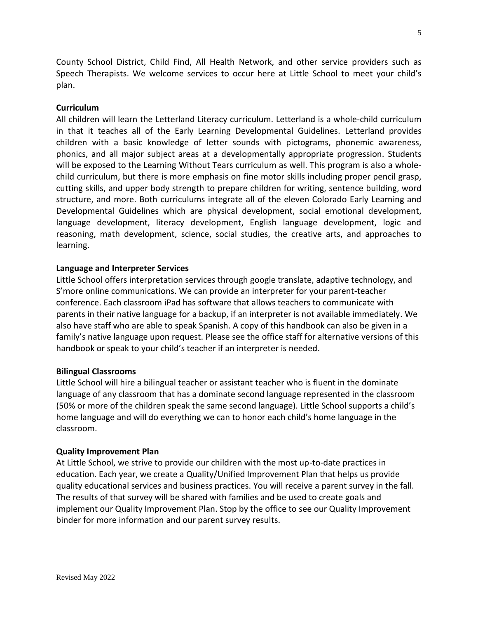County School District, Child Find, All Health Network, and other service providers such as Speech Therapists. We welcome services to occur here at Little School to meet your child's plan.

# **Curriculum**

All children will learn the Letterland Literacy curriculum. Letterland is a whole-child curriculum in that it teaches all of the Early Learning Developmental Guidelines. Letterland provides children with a basic knowledge of letter sounds with pictograms, phonemic awareness, phonics, and all major subject areas at a developmentally appropriate progression. Students will be exposed to the Learning Without Tears curriculum as well. This program is also a wholechild curriculum, but there is more emphasis on fine motor skills including proper pencil grasp, cutting skills, and upper body strength to prepare children for writing, sentence building, word structure, and more. Both curriculums integrate all of the eleven Colorado Early Learning and Developmental Guidelines which are physical development, social emotional development, language development, literacy development, English language development, logic and reasoning, math development, science, social studies, the creative arts, and approaches to learning.

## **Language and Interpreter Services**

Little School offers interpretation services through google translate, adaptive technology, and S'more online communications. We can provide an interpreter for your parent-teacher conference. Each classroom iPad has software that allows teachers to communicate with parents in their native language for a backup, if an interpreter is not available immediately. We also have staff who are able to speak Spanish. A copy of this handbook can also be given in a family's native language upon request. Please see the office staff for alternative versions of this handbook or speak to your child's teacher if an interpreter is needed.

## **Bilingual Classrooms**

Little School will hire a bilingual teacher or assistant teacher who is fluent in the dominate language of any classroom that has a dominate second language represented in the classroom (50% or more of the children speak the same second language). Little School supports a child's home language and will do everything we can to honor each child's home language in the classroom.

## **Quality Improvement Plan**

At Little School, we strive to provide our children with the most up-to-date practices in education. Each year, we create a Quality/Unified Improvement Plan that helps us provide quality educational services and business practices. You will receive a parent survey in the fall. The results of that survey will be shared with families and be used to create goals and implement our Quality Improvement Plan. Stop by the office to see our Quality Improvement binder for more information and our parent survey results.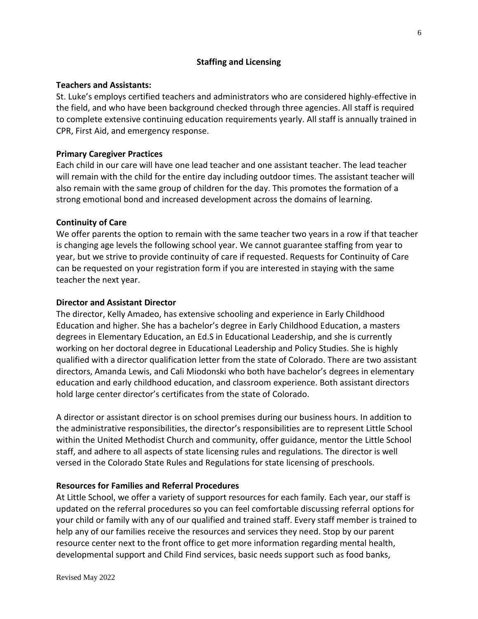# **Staffing and Licensing**

## **Teachers and Assistants:**

St. Luke's employs certified teachers and administrators who are considered highly-effective in the field, and who have been background checked through three agencies. All staff is required to complete extensive continuing education requirements yearly. All staff is annually trained in CPR, First Aid, and emergency response.

## **Primary Caregiver Practices**

Each child in our care will have one lead teacher and one assistant teacher. The lead teacher will remain with the child for the entire day including outdoor times. The assistant teacher will also remain with the same group of children for the day. This promotes the formation of a strong emotional bond and increased development across the domains of learning.

## **Continuity of Care**

We offer parents the option to remain with the same teacher two years in a row if that teacher is changing age levels the following school year. We cannot guarantee staffing from year to year, but we strive to provide continuity of care if requested. Requests for Continuity of Care can be requested on your registration form if you are interested in staying with the same teacher the next year.

## **Director and Assistant Director**

The director, Kelly Amadeo, has extensive schooling and experience in Early Childhood Education and higher. She has a bachelor's degree in Early Childhood Education, a masters degrees in Elementary Education, an Ed.S in Educational Leadership, and she is currently working on her doctoral degree in Educational Leadership and Policy Studies. She is highly qualified with a director qualification letter from the state of Colorado. There are two assistant directors, Amanda Lewis, and Cali Miodonski who both have bachelor's degrees in elementary education and early childhood education, and classroom experience. Both assistant directors hold large center director's certificates from the state of Colorado.

A director or assistant director is on school premises during our business hours. In addition to the administrative responsibilities, the director's responsibilities are to represent Little School within the United Methodist Church and community, offer guidance, mentor the Little School staff, and adhere to all aspects of state licensing rules and regulations. The director is well versed in the Colorado State Rules and Regulations for state licensing of preschools.

## **Resources for Families and Referral Procedures**

At Little School, we offer a variety of support resources for each family. Each year, our staff is updated on the referral procedures so you can feel comfortable discussing referral options for your child or family with any of our qualified and trained staff. Every staff member is trained to help any of our families receive the resources and services they need. Stop by our parent resource center next to the front office to get more information regarding mental health, developmental support and Child Find services, basic needs support such as food banks,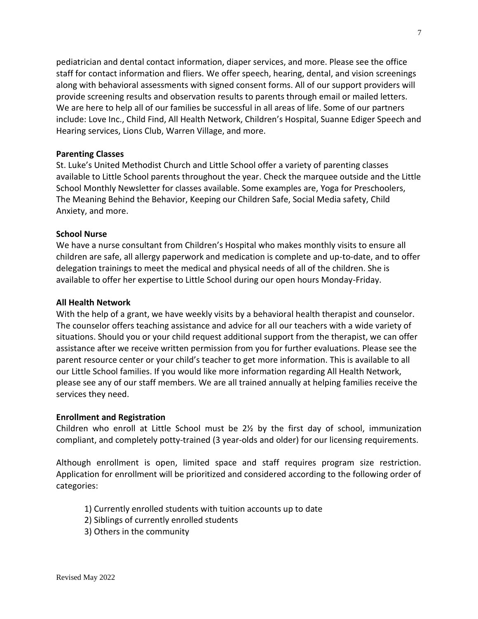pediatrician and dental contact information, diaper services, and more. Please see the office staff for contact information and fliers. We offer speech, hearing, dental, and vision screenings along with behavioral assessments with signed consent forms. All of our support providers will provide screening results and observation results to parents through email or mailed letters. We are here to help all of our families be successful in all areas of life. Some of our partners include: Love Inc., Child Find, All Health Network, Children's Hospital, Suanne Ediger Speech and Hearing services, Lions Club, Warren Village, and more.

## **Parenting Classes**

St. Luke's United Methodist Church and Little School offer a variety of parenting classes available to Little School parents throughout the year. Check the marquee outside and the Little School Monthly Newsletter for classes available. Some examples are, Yoga for Preschoolers, The Meaning Behind the Behavior, Keeping our Children Safe, Social Media safety, Child Anxiety, and more.

## **School Nurse**

We have a nurse consultant from Children's Hospital who makes monthly visits to ensure all children are safe, all allergy paperwork and medication is complete and up-to-date, and to offer delegation trainings to meet the medical and physical needs of all of the children. She is available to offer her expertise to Little School during our open hours Monday-Friday.

## **All Health Network**

With the help of a grant, we have weekly visits by a behavioral health therapist and counselor. The counselor offers teaching assistance and advice for all our teachers with a wide variety of situations. Should you or your child request additional support from the therapist, we can offer assistance after we receive written permission from you for further evaluations. Please see the parent resource center or your child's teacher to get more information. This is available to all our Little School families. If you would like more information regarding All Health Network, please see any of our staff members. We are all trained annually at helping families receive the services they need.

## **Enrollment and Registration**

Children who enroll at Little School must be  $2\frac{1}{2}$  by the first day of school, immunization compliant, and completely potty-trained (3 year-olds and older) for our licensing requirements.

Although enrollment is open, limited space and staff requires program size restriction. Application for enrollment will be prioritized and considered according to the following order of categories:

- 1) Currently enrolled students with tuition accounts up to date
- 2) Siblings of currently enrolled students
- 3) Others in the community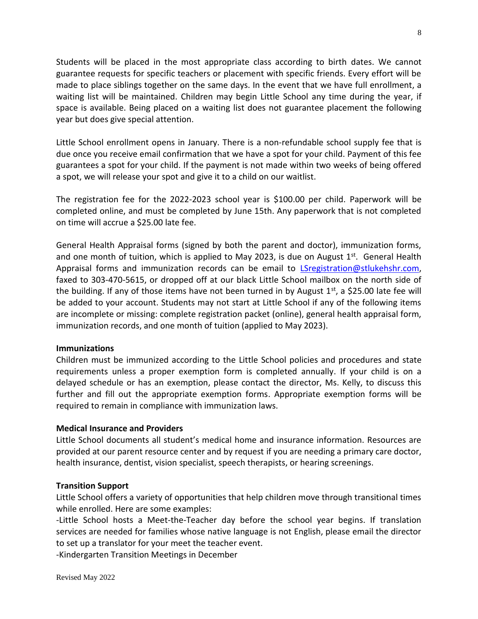Students will be placed in the most appropriate class according to birth dates. We cannot guarantee requests for specific teachers or placement with specific friends. Every effort will be made to place siblings together on the same days. In the event that we have full enrollment, a waiting list will be maintained. Children may begin Little School any time during the year, if space is available. Being placed on a waiting list does not guarantee placement the following year but does give special attention.

Little School enrollment opens in January. There is a non-refundable school supply fee that is due once you receive email confirmation that we have a spot for your child. Payment of this fee guarantees a spot for your child. If the payment is not made within two weeks of being offered a spot, we will release your spot and give it to a child on our waitlist.

The registration fee for the 2022-2023 school year is \$100.00 per child. Paperwork will be completed online, and must be completed by June 15th. Any paperwork that is not completed on time will accrue a \$25.00 late fee.

General Health Appraisal forms (signed by both the parent and doctor), immunization forms, and one month of tuition, which is applied to May 2023, is due on August  $1<sup>st</sup>$ . General Health Appraisal forms and immunization records can be email to [LSregistration@stlukehshr.com,](mailto:LSregistration@stlukehshr.com) faxed to 303-470-5615, or dropped off at our black Little School mailbox on the north side of the building. If any of those items have not been turned in by August  $1^{st}$ , a \$25.00 late fee will be added to your account. Students may not start at Little School if any of the following items are incomplete or missing: complete registration packet (online), general health appraisal form, immunization records, and one month of tuition (applied to May 2023).

## **Immunizations**

Children must be immunized according to the Little School policies and procedures and state requirements unless a proper exemption form is completed annually. If your child is on a delayed schedule or has an exemption, please contact the director, Ms. Kelly, to discuss this further and fill out the appropriate exemption forms. Appropriate exemption forms will be required to remain in compliance with immunization laws.

## **Medical Insurance and Providers**

Little School documents all student's medical home and insurance information. Resources are provided at our parent resource center and by request if you are needing a primary care doctor, health insurance, dentist, vision specialist, speech therapists, or hearing screenings.

## **Transition Support**

Little School offers a variety of opportunities that help children move through transitional times while enrolled. Here are some examples:

-Little School hosts a Meet-the-Teacher day before the school year begins. If translation services are needed for families whose native language is not English, please email the director to set up a translator for your meet the teacher event.

-Kindergarten Transition Meetings in December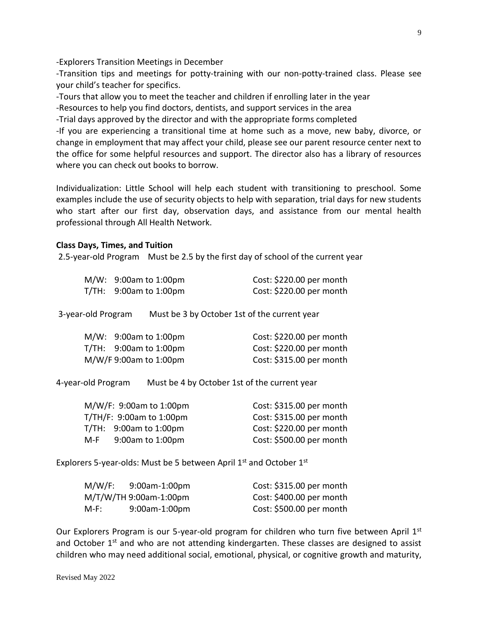-Explorers Transition Meetings in December

-Transition tips and meetings for potty-training with our non-potty-trained class. Please see your child's teacher for specifics.

-Tours that allow you to meet the teacher and children if enrolling later in the year

-Resources to help you find doctors, dentists, and support services in the area

-Trial days approved by the director and with the appropriate forms completed

-If you are experiencing a transitional time at home such as a move, new baby, divorce, or change in employment that may affect your child, please see our parent resource center next to the office for some helpful resources and support. The director also has a library of resources where you can check out books to borrow.

Individualization: Little School will help each student with transitioning to preschool. Some examples include the use of security objects to help with separation, trial days for new students who start after our first day, observation days, and assistance from our mental health professional through All Health Network.

#### **Class Days, Times, and Tuition**

2.5-year-old Program Must be 2.5 by the first day of school of the current year

| $M/W: 9:00am$ to 1:00pm  |                                              | Cost: \$220.00 per month |  |
|--------------------------|----------------------------------------------|--------------------------|--|
| $T/TH: 9:00am$ to 1:00pm |                                              | Cost: \$220.00 per month |  |
|                          |                                              |                          |  |
| ear-old Program.         | Must be 3 by October 1st of the current year |                          |  |

3-year-old Program Must be 3 by October 1st of the current year

| $M/W$ : 9:00am to 1:00pm | Cost: \$220.00 per month  |
|--------------------------|---------------------------|
| $T/TH: 9:00am$ to 1:00pm | Cost: $$220.00$ per month |
| M/W/F 9:00am to 1:00pm   | Cost: \$315.00 per month  |

4-year-old Program Must be 4 by October 1st of the current year

|     | M/W/F: 9:00am to 1:00pm     | Cost: \$315.00 per month |
|-----|-----------------------------|--------------------------|
|     | $T/TH/F$ : 9:00am to 1:00pm | Cost: \$315.00 per month |
|     | $T/TH: 9:00am$ to 1:00pm    | Cost: \$220.00 per month |
| M-F | 9:00am to 1:00pm            | Cost: \$500.00 per month |

Explorers 5-year-olds: Must be 5 between April  $1<sup>st</sup>$  and October  $1<sup>st</sup>$ 

| M/W/F: | 9:00am-1:00pm          | Cost: \$315.00 per month |
|--------|------------------------|--------------------------|
|        | M/T/W/TH 9:00am-1:00pm | Cost: \$400.00 per month |
| M-F:   | $9:00$ am-1:00pm       | Cost: \$500.00 per month |

Our Explorers Program is our 5-year-old program for children who turn five between April  $1<sup>st</sup>$ and October  $1<sup>st</sup>$  and who are not attending kindergarten. These classes are designed to assist children who may need additional social, emotional, physical, or cognitive growth and maturity,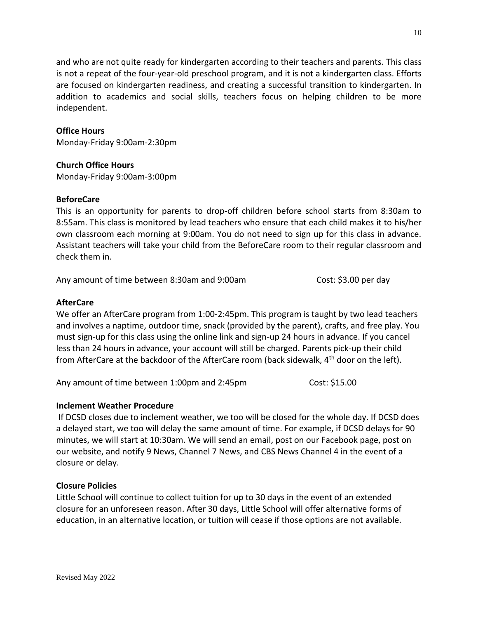and who are not quite ready for kindergarten according to their teachers and parents. This class is not a repeat of the four-year-old preschool program, and it is not a kindergarten class. Efforts are focused on kindergarten readiness, and creating a successful transition to kindergarten. In addition to academics and social skills, teachers focus on helping children to be more independent.

# **Office Hours**

Monday-Friday 9:00am-2:30pm

# **Church Office Hours**

Monday-Friday 9:00am-3:00pm

## **BeforeCare**

This is an opportunity for parents to drop-off children before school starts from 8:30am to 8:55am. This class is monitored by lead teachers who ensure that each child makes it to his/her own classroom each morning at 9:00am. You do not need to sign up for this class in advance. Assistant teachers will take your child from the BeforeCare room to their regular classroom and check them in.

Any amount of time between 8:30am and 9:00am Cost: \$3.00 per day

# **AfterCare**

We offer an AfterCare program from 1:00-2:45pm. This program is taught by two lead teachers and involves a naptime, outdoor time, snack (provided by the parent), crafts, and free play. You must sign-up for this class using the online link and sign-up 24 hours in advance. If you cancel less than 24 hours in advance, your account will still be charged. Parents pick-up their child from AfterCare at the backdoor of the AfterCare room (back sidewalk, 4th door on the left).

Any amount of time between 1:00pm and 2:45pm Cost: \$15.00

# **Inclement Weather Procedure**

If DCSD closes due to inclement weather, we too will be closed for the whole day. If DCSD does a delayed start, we too will delay the same amount of time. For example, if DCSD delays for 90 minutes, we will start at 10:30am. We will send an email, post on our Facebook page, post on our website, and notify 9 News, Channel 7 News, and CBS News Channel 4 in the event of a closure or delay.

# **Closure Policies**

Little School will continue to collect tuition for up to 30 days in the event of an extended closure for an unforeseen reason. After 30 days, Little School will offer alternative forms of education, in an alternative location, or tuition will cease if those options are not available.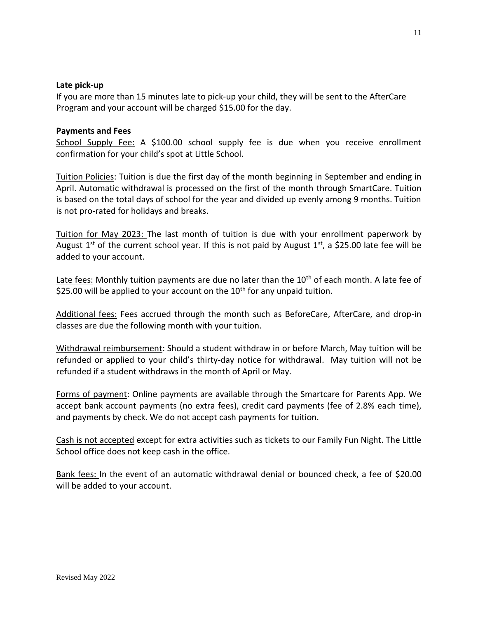## **Late pick-up**

If you are more than 15 minutes late to pick-up your child, they will be sent to the AfterCare Program and your account will be charged \$15.00 for the day.

## **Payments and Fees**

School Supply Fee: A \$100.00 school supply fee is due when you receive enrollment confirmation for your child's spot at Little School.

Tuition Policies: Tuition is due the first day of the month beginning in September and ending in April. Automatic withdrawal is processed on the first of the month through SmartCare. Tuition is based on the total days of school for the year and divided up evenly among 9 months. Tuition is not pro-rated for holidays and breaks.

Tuition for May 2023: The last month of tuition is due with your enrollment paperwork by August 1<sup>st</sup> of the current school year. If this is not paid by August 1<sup>st</sup>, a \$25.00 late fee will be added to your account.

Late fees: Monthly tuition payments are due no later than the  $10<sup>th</sup>$  of each month. A late fee of \$25.00 will be applied to your account on the  $10<sup>th</sup>$  for any unpaid tuition.

Additional fees: Fees accrued through the month such as BeforeCare, AfterCare, and drop-in classes are due the following month with your tuition.

Withdrawal reimbursement: Should a student withdraw in or before March, May tuition will be refunded or applied to your child's thirty-day notice for withdrawal. May tuition will not be refunded if a student withdraws in the month of April or May.

Forms of payment: Online payments are available through the Smartcare for Parents App. We accept bank account payments (no extra fees), credit card payments (fee of 2.8% each time), and payments by check. We do not accept cash payments for tuition.

Cash is not accepted except for extra activities such as tickets to our Family Fun Night. The Little School office does not keep cash in the office.

Bank fees: In the event of an automatic withdrawal denial or bounced check, a fee of \$20.00 will be added to your account.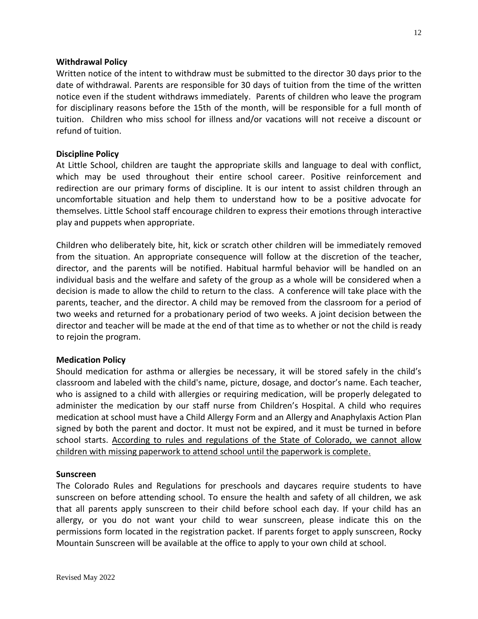#### **Withdrawal Policy**

Written notice of the intent to withdraw must be submitted to the director 30 days prior to the date of withdrawal. Parents are responsible for 30 days of tuition from the time of the written notice even if the student withdraws immediately. Parents of children who leave the program for disciplinary reasons before the 15th of the month, will be responsible for a full month of tuition. Children who miss school for illness and/or vacations will not receive a discount or refund of tuition.

#### **Discipline Policy**

At Little School, children are taught the appropriate skills and language to deal with conflict, which may be used throughout their entire school career. Positive reinforcement and redirection are our primary forms of discipline. It is our intent to assist children through an uncomfortable situation and help them to understand how to be a positive advocate for themselves. Little School staff encourage children to express their emotions through interactive play and puppets when appropriate.

Children who deliberately bite, hit, kick or scratch other children will be immediately removed from the situation. An appropriate consequence will follow at the discretion of the teacher, director, and the parents will be notified. Habitual harmful behavior will be handled on an individual basis and the welfare and safety of the group as a whole will be considered when a decision is made to allow the child to return to the class. A conference will take place with the parents, teacher, and the director. A child may be removed from the classroom for a period of two weeks and returned for a probationary period of two weeks. A joint decision between the director and teacher will be made at the end of that time as to whether or not the child is ready to rejoin the program.

## **Medication Policy**

Should medication for asthma or allergies be necessary, it will be stored safely in the child's classroom and labeled with the child's name, picture, dosage, and doctor's name. Each teacher, who is assigned to a child with allergies or requiring medication, will be properly delegated to administer the medication by our staff nurse from Children's Hospital. A child who requires medication at school must have a Child Allergy Form and an Allergy and Anaphylaxis Action Plan signed by both the parent and doctor. It must not be expired, and it must be turned in before school starts. According to rules and regulations of the State of Colorado, we cannot allow children with missing paperwork to attend school until the paperwork is complete.

#### **Sunscreen**

The Colorado Rules and Regulations for preschools and daycares require students to have sunscreen on before attending school. To ensure the health and safety of all children, we ask that all parents apply sunscreen to their child before school each day. If your child has an allergy, or you do not want your child to wear sunscreen, please indicate this on the permissions form located in the registration packet. If parents forget to apply sunscreen, Rocky Mountain Sunscreen will be available at the office to apply to your own child at school.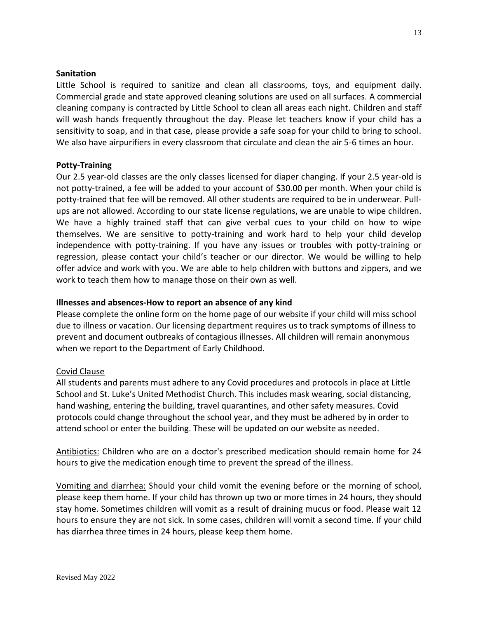## **Sanitation**

Little School is required to sanitize and clean all classrooms, toys, and equipment daily. Commercial grade and state approved cleaning solutions are used on all surfaces. A commercial cleaning company is contracted by Little School to clean all areas each night. Children and staff will wash hands frequently throughout the day. Please let teachers know if your child has a sensitivity to soap, and in that case, please provide a safe soap for your child to bring to school. We also have airpurifiers in every classroom that circulate and clean the air 5-6 times an hour.

## **Potty-Training**

Our 2.5 year-old classes are the only classes licensed for diaper changing. If your 2.5 year-old is not potty-trained, a fee will be added to your account of \$30.00 per month. When your child is potty-trained that fee will be removed. All other students are required to be in underwear. Pullups are not allowed. According to our state license regulations, we are unable to wipe children. We have a highly trained staff that can give verbal cues to your child on how to wipe themselves. We are sensitive to potty-training and work hard to help your child develop independence with potty-training. If you have any issues or troubles with potty-training or regression, please contact your child's teacher or our director. We would be willing to help offer advice and work with you. We are able to help children with buttons and zippers, and we work to teach them how to manage those on their own as well.

## **Illnesses and absences-How to report an absence of any kind**

Please complete the online form on the home page of our website if your child will miss school due to illness or vacation. Our licensing department requires us to track symptoms of illness to prevent and document outbreaks of contagious illnesses. All children will remain anonymous when we report to the Department of Early Childhood.

# Covid Clause

All students and parents must adhere to any Covid procedures and protocols in place at Little School and St. Luke's United Methodist Church. This includes mask wearing, social distancing, hand washing, entering the building, travel quarantines, and other safety measures. Covid protocols could change throughout the school year, and they must be adhered by in order to attend school or enter the building. These will be updated on our website as needed.

Antibiotics: Children who are on a doctor's prescribed medication should remain home for 24 hours to give the medication enough time to prevent the spread of the illness.

Vomiting and diarrhea: Should your child vomit the evening before or the morning of school, please keep them home. If your child has thrown up two or more times in 24 hours, they should stay home. Sometimes children will vomit as a result of draining mucus or food. Please wait 12 hours to ensure they are not sick. In some cases, children will vomit a second time. If your child has diarrhea three times in 24 hours, please keep them home.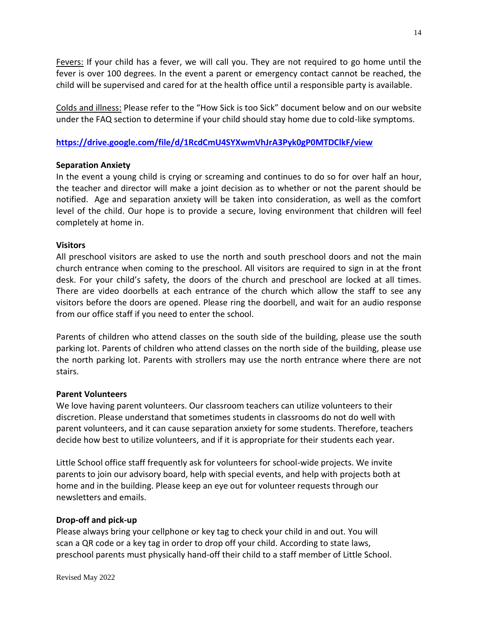Fevers: If your child has a fever, we will call you. They are not required to go home until the fever is over 100 degrees. In the event a parent or emergency contact cannot be reached, the child will be supervised and cared for at the health office until a responsible party is available.

Colds and illness: Please refer to the "How Sick is too Sick" document below and on our website under the FAQ section to determine if your child should stay home due to cold-like symptoms.

# **<https://drive.google.com/file/d/1RcdCmU4SYXwmVhJrA3Pyk0gP0MTDClkF/view>**

# **Separation Anxiety**

In the event a young child is crying or screaming and continues to do so for over half an hour, the teacher and director will make a joint decision as to whether or not the parent should be notified. Age and separation anxiety will be taken into consideration, as well as the comfort level of the child. Our hope is to provide a secure, loving environment that children will feel completely at home in.

# **Visitors**

All preschool visitors are asked to use the north and south preschool doors and not the main church entrance when coming to the preschool. All visitors are required to sign in at the front desk. For your child's safety, the doors of the church and preschool are locked at all times. There are video doorbells at each entrance of the church which allow the staff to see any visitors before the doors are opened. Please ring the doorbell, and wait for an audio response from our office staff if you need to enter the school.

Parents of children who attend classes on the south side of the building, please use the south parking lot. Parents of children who attend classes on the north side of the building, please use the north parking lot. Parents with strollers may use the north entrance where there are not stairs.

# **Parent Volunteers**

We love having parent volunteers. Our classroom teachers can utilize volunteers to their discretion. Please understand that sometimes students in classrooms do not do well with parent volunteers, and it can cause separation anxiety for some students. Therefore, teachers decide how best to utilize volunteers, and if it is appropriate for their students each year.

Little School office staff frequently ask for volunteers for school-wide projects. We invite parents to join our advisory board, help with special events, and help with projects both at home and in the building. Please keep an eye out for volunteer requests through our newsletters and emails.

# **Drop-off and pick-up**

Please always bring your cellphone or key tag to check your child in and out. You will scan a QR code or a key tag in order to drop off your child. According to state laws, preschool parents must physically hand-off their child to a staff member of Little School.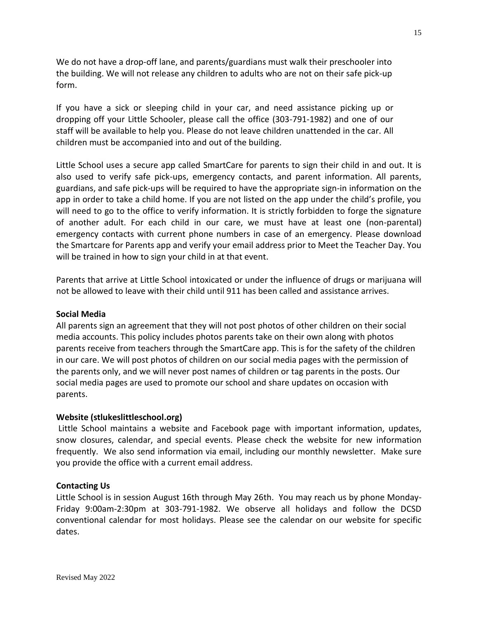We do not have a drop-off lane, and parents/guardians must walk their preschooler into the building. We will not release any children to adults who are not on their safe pick-up form.

If you have a sick or sleeping child in your car, and need assistance picking up or dropping off your Little Schooler, please call the office (303-791-1982) and one of our staff will be available to help you. Please do not leave children unattended in the car. All children must be accompanied into and out of the building.

Little School uses a secure app called SmartCare for parents to sign their child in and out. It is also used to verify safe pick-ups, emergency contacts, and parent information. All parents, guardians, and safe pick-ups will be required to have the appropriate sign-in information on the app in order to take a child home. If you are not listed on the app under the child's profile, you will need to go to the office to verify information. It is strictly forbidden to forge the signature of another adult. For each child in our care, we must have at least one (non-parental) emergency contacts with current phone numbers in case of an emergency. Please download the Smartcare for Parents app and verify your email address prior to Meet the Teacher Day. You will be trained in how to sign your child in at that event.

Parents that arrive at Little School intoxicated or under the influence of drugs or marijuana will not be allowed to leave with their child until 911 has been called and assistance arrives.

# **Social Media**

All parents sign an agreement that they will not post photos of other children on their social media accounts. This policy includes photos parents take on their own along with photos parents receive from teachers through the SmartCare app. This is for the safety of the children in our care. We will post photos of children on our social media pages with the permission of the parents only, and we will never post names of children or tag parents in the posts. Our social media pages are used to promote our school and share updates on occasion with parents.

# **Website (stlukeslittleschool.org)**

Little School maintains a website and Facebook page with important information, updates, snow closures, calendar, and special events. Please check the website for new information frequently. We also send information via email, including our monthly newsletter. Make sure you provide the office with a current email address.

## **Contacting Us**

Little School is in session August 16th through May 26th. You may reach us by phone Monday-Friday 9:00am-2:30pm at 303-791-1982. We observe all holidays and follow the DCSD conventional calendar for most holidays. Please see the calendar on our website for specific dates.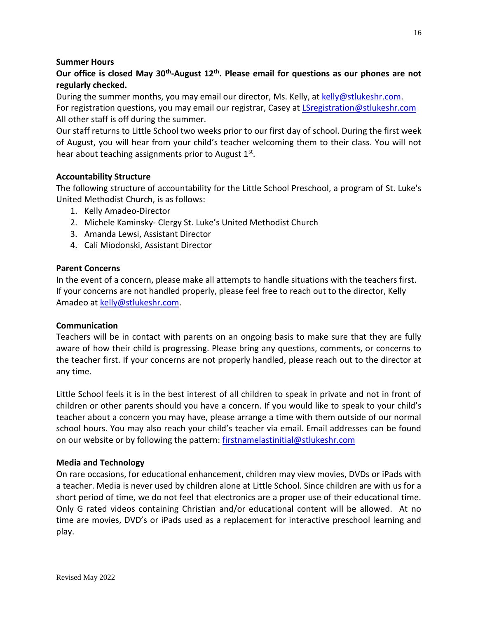# **Summer Hours**

# Our office is closed May 30<sup>th</sup>-August 12<sup>th</sup>. Please email for questions as our phones are not **regularly checked.**

During the summer months, you may email our director, Ms. Kelly, at [kelly@stlukeshr.com.](mailto:kelly@stlukeshr.com) For registration questions, you may email our registrar, Casey at [LSregistration@stlukeshr.com](mailto:LSregistration@stlukeshr.com) All other staff is off during the summer.

Our staff returns to Little School two weeks prior to our first day of school. During the first week of August, you will hear from your child's teacher welcoming them to their class. You will not hear about teaching assignments prior to August 1st.

## **Accountability Structure**

The following structure of accountability for the Little School Preschool, a program of St. Luke's United Methodist Church, is as follows:

- 1. Kelly Amadeo-Director
- 2. Michele Kaminsky- Clergy St. Luke's United Methodist Church
- 3. Amanda Lewsi, Assistant Director
- 4. Cali Miodonski, Assistant Director

## **Parent Concerns**

In the event of a concern, please make all attempts to handle situations with the teachers first. If your concerns are not handled properly, please feel free to reach out to the director, Kelly Amadeo at [kelly@stlukeshr.com.](mailto:kelly@stlukeshr.com)

## **Communication**

Teachers will be in contact with parents on an ongoing basis to make sure that they are fully aware of how their child is progressing. Please bring any questions, comments, or concerns to the teacher first. If your concerns are not properly handled, please reach out to the director at any time.

Little School feels it is in the best interest of all children to speak in private and not in front of children or other parents should you have a concern. If you would like to speak to your child's teacher about a concern you may have, please arrange a time with them outside of our normal school hours. You may also reach your child's teacher via email. Email addresses can be found on our website or by following the pattern: [firstnamelastinitial@stlukeshr.com](mailto:firstnamelastinitial@stlukeshr.com)

## **Media and Technology**

On rare occasions, for educational enhancement, children may view movies, DVDs or iPads with a teacher. Media is never used by children alone at Little School. Since children are with us for a short period of time, we do not feel that electronics are a proper use of their educational time. Only G rated videos containing Christian and/or educational content will be allowed. At no time are movies, DVD's or iPads used as a replacement for interactive preschool learning and play.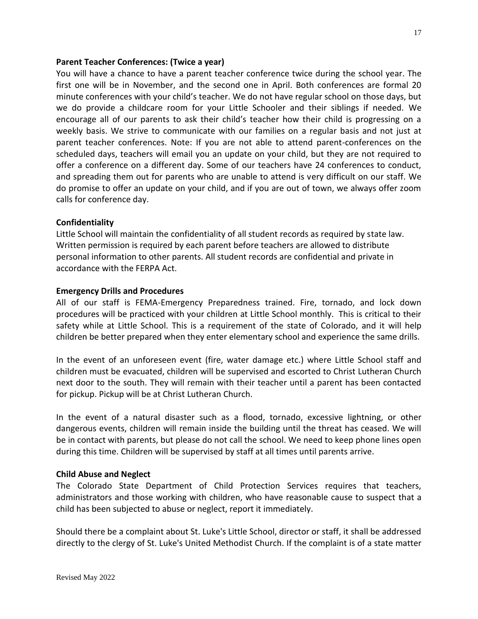## **Parent Teacher Conferences: (Twice a year)**

You will have a chance to have a parent teacher conference twice during the school year. The first one will be in November, and the second one in April. Both conferences are formal 20 minute conferences with your child's teacher. We do not have regular school on those days, but we do provide a childcare room for your Little Schooler and their siblings if needed. We encourage all of our parents to ask their child's teacher how their child is progressing on a weekly basis. We strive to communicate with our families on a regular basis and not just at parent teacher conferences. Note: If you are not able to attend parent-conferences on the scheduled days, teachers will email you an update on your child, but they are not required to offer a conference on a different day. Some of our teachers have 24 conferences to conduct, and spreading them out for parents who are unable to attend is very difficult on our staff. We do promise to offer an update on your child, and if you are out of town, we always offer zoom calls for conference day.

## **Confidentiality**

Little School will maintain the confidentiality of all student records as required by state law. Written permission is required by each parent before teachers are allowed to distribute personal information to other parents. All student records are confidential and private in accordance with the FERPA Act.

## **Emergency Drills and Procedures**

All of our staff is FEMA-Emergency Preparedness trained. Fire, tornado, and lock down procedures will be practiced with your children at Little School monthly. This is critical to their safety while at Little School. This is a requirement of the state of Colorado, and it will help children be better prepared when they enter elementary school and experience the same drills.

In the event of an unforeseen event (fire, water damage etc.) where Little School staff and children must be evacuated, children will be supervised and escorted to Christ Lutheran Church next door to the south. They will remain with their teacher until a parent has been contacted for pickup. Pickup will be at Christ Lutheran Church.

In the event of a natural disaster such as a flood, tornado, excessive lightning, or other dangerous events, children will remain inside the building until the threat has ceased. We will be in contact with parents, but please do not call the school. We need to keep phone lines open during this time. Children will be supervised by staff at all times until parents arrive.

# **Child Abuse and Neglect**

The Colorado State Department of Child Protection Services requires that teachers, administrators and those working with children, who have reasonable cause to suspect that a child has been subjected to abuse or neglect, report it immediately.

Should there be a complaint about St. Luke's Little School, director or staff, it shall be addressed directly to the clergy of St. Luke's United Methodist Church. If the complaint is of a state matter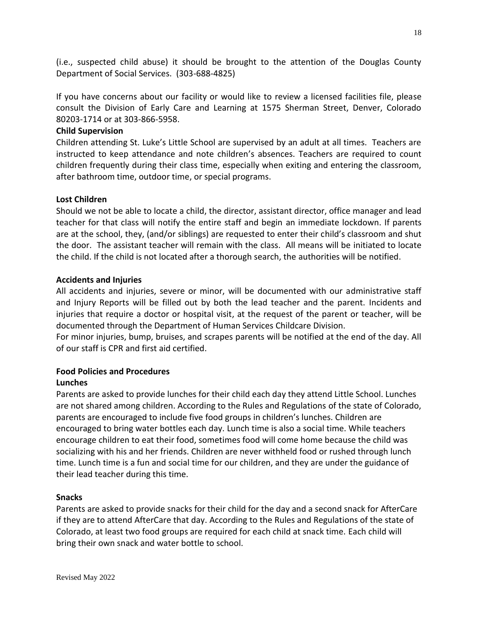(i.e., suspected child abuse) it should be brought to the attention of the Douglas County Department of Social Services. (303-688-4825)

If you have concerns about our facility or would like to review a licensed facilities file, please consult the Division of Early Care and Learning at 1575 Sherman Street, Denver, Colorado 80203-1714 or at 303-866-5958.

# **Child Supervision**

Children attending St. Luke's Little School are supervised by an adult at all times. Teachers are instructed to keep attendance and note children's absences. Teachers are required to count children frequently during their class time, especially when exiting and entering the classroom, after bathroom time, outdoor time, or special programs.

## **Lost Children**

Should we not be able to locate a child, the director, assistant director, office manager and lead teacher for that class will notify the entire staff and begin an immediate lockdown. If parents are at the school, they, (and/or siblings) are requested to enter their child's classroom and shut the door. The assistant teacher will remain with the class. All means will be initiated to locate the child. If the child is not located after a thorough search, the authorities will be notified.

## **Accidents and Injuries**

All accidents and injuries, severe or minor, will be documented with our administrative staff and Injury Reports will be filled out by both the lead teacher and the parent. Incidents and injuries that require a doctor or hospital visit, at the request of the parent or teacher, will be documented through the Department of Human Services Childcare Division.

For minor injuries, bump, bruises, and scrapes parents will be notified at the end of the day. All of our staff is CPR and first aid certified.

#### **Food Policies and Procedures Lunches**

Parents are asked to provide lunches for their child each day they attend Little School. Lunches are not shared among children. According to the Rules and Regulations of the state of Colorado, parents are encouraged to include five food groups in children's lunches. Children are encouraged to bring water bottles each day. Lunch time is also a social time. While teachers encourage children to eat their food, sometimes food will come home because the child was socializing with his and her friends. Children are never withheld food or rushed through lunch time. Lunch time is a fun and social time for our children, and they are under the guidance of their lead teacher during this time.

## **Snacks**

Parents are asked to provide snacks for their child for the day and a second snack for AfterCare if they are to attend AfterCare that day. According to the Rules and Regulations of the state of Colorado, at least two food groups are required for each child at snack time. Each child will bring their own snack and water bottle to school.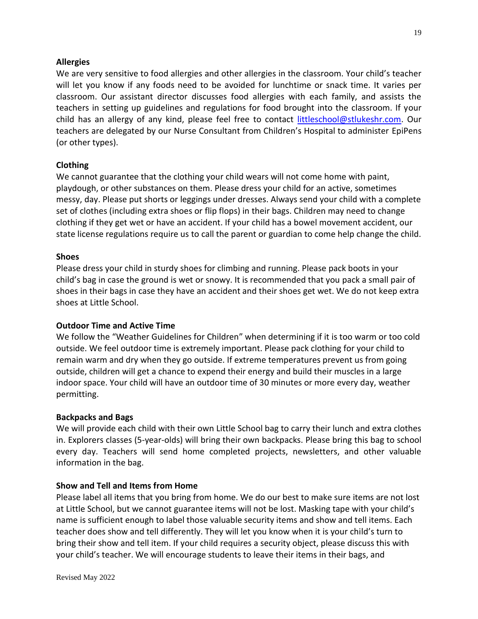## **Allergies**

We are very sensitive to food allergies and other allergies in the classroom. Your child's teacher will let you know if any foods need to be avoided for lunchtime or snack time. It varies per classroom. Our assistant director discusses food allergies with each family, and assists the teachers in setting up guidelines and regulations for food brought into the classroom. If your child has an allergy of any kind, please feel free to contact [littleschool@stlukeshr.com.](mailto:littleschool@stlukeshr.com) Our teachers are delegated by our Nurse Consultant from Children's Hospital to administer EpiPens (or other types).

# **Clothing**

We cannot guarantee that the clothing your child wears will not come home with paint, playdough, or other substances on them. Please dress your child for an active, sometimes messy, day. Please put shorts or leggings under dresses. Always send your child with a complete set of clothes (including extra shoes or flip flops) in their bags. Children may need to change clothing if they get wet or have an accident. If your child has a bowel movement accident, our state license regulations require us to call the parent or guardian to come help change the child.

## **Shoes**

Please dress your child in sturdy shoes for climbing and running. Please pack boots in your child's bag in case the ground is wet or snowy. It is recommended that you pack a small pair of shoes in their bags in case they have an accident and their shoes get wet. We do not keep extra shoes at Little School.

## **Outdoor Time and Active Time**

We follow the "Weather Guidelines for Children" when determining if it is too warm or too cold outside. We feel outdoor time is extremely important. Please pack clothing for your child to remain warm and dry when they go outside. If extreme temperatures prevent us from going outside, children will get a chance to expend their energy and build their muscles in a large indoor space. Your child will have an outdoor time of 30 minutes or more every day, weather permitting.

## **Backpacks and Bags**

We will provide each child with their own Little School bag to carry their lunch and extra clothes in. Explorers classes (5-year-olds) will bring their own backpacks. Please bring this bag to school every day. Teachers will send home completed projects, newsletters, and other valuable information in the bag.

## **Show and Tell and Items from Home**

Please label all items that you bring from home. We do our best to make sure items are not lost at Little School, but we cannot guarantee items will not be lost. Masking tape with your child's name is sufficient enough to label those valuable security items and show and tell items. Each teacher does show and tell differently. They will let you know when it is your child's turn to bring their show and tell item. If your child requires a security object, please discuss this with your child's teacher. We will encourage students to leave their items in their bags, and